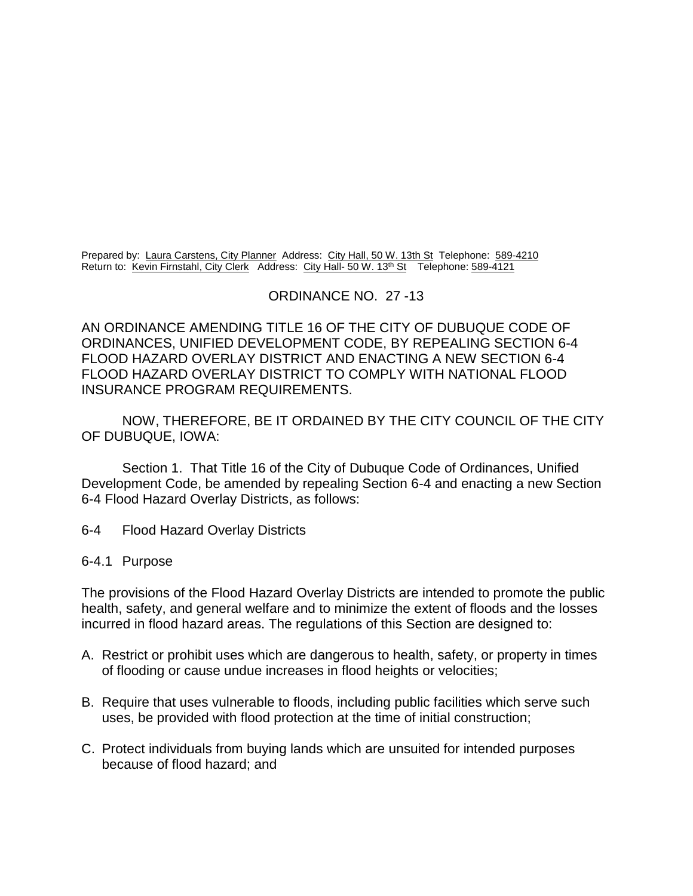Prepared by: Laura Carstens, City Planner Address: City Hall, 50 W. 13th St Telephone: 589-4210 Return to: Kevin Firnstahl, City Clerk Address: City Hall- 50 W. 13<sup>th</sup> St Telephone: 589-4121

#### ORDINANCE NO. 27 -13

AN ORDINANCE AMENDING TITLE 16 OF THE CITY OF DUBUQUE CODE OF ORDINANCES, UNIFIED DEVELOPMENT CODE, BY REPEALING SECTION 6-4 FLOOD HAZARD OVERLAY DISTRICT AND ENACTING A NEW SECTION 6-4 FLOOD HAZARD OVERLAY DISTRICT TO COMPLY WITH NATIONAL FLOOD INSURANCE PROGRAM REQUIREMENTS.

NOW, THEREFORE, BE IT ORDAINED BY THE CITY COUNCIL OF THE CITY OF DUBUQUE, IOWA:

Section 1. That Title 16 of the City of Dubuque Code of Ordinances, Unified Development Code, be amended by repealing Section 6-4 and enacting a new Section 6-4 Flood Hazard Overlay Districts, as follows:

6-4 Flood Hazard Overlay Districts

#### 6-4.1 Purpose

The provisions of the Flood Hazard Overlay Districts are intended to promote the public health, safety, and general welfare and to minimize the extent of floods and the losses incurred in flood hazard areas. The regulations of this Section are designed to:

- A. Restrict or prohibit uses which are dangerous to health, safety, or property in times of flooding or cause undue increases in flood heights or velocities;
- B. Require that uses vulnerable to floods, including public facilities which serve such uses, be provided with flood protection at the time of initial construction;
- C. Protect individuals from buying lands which are unsuited for intended purposes because of flood hazard; and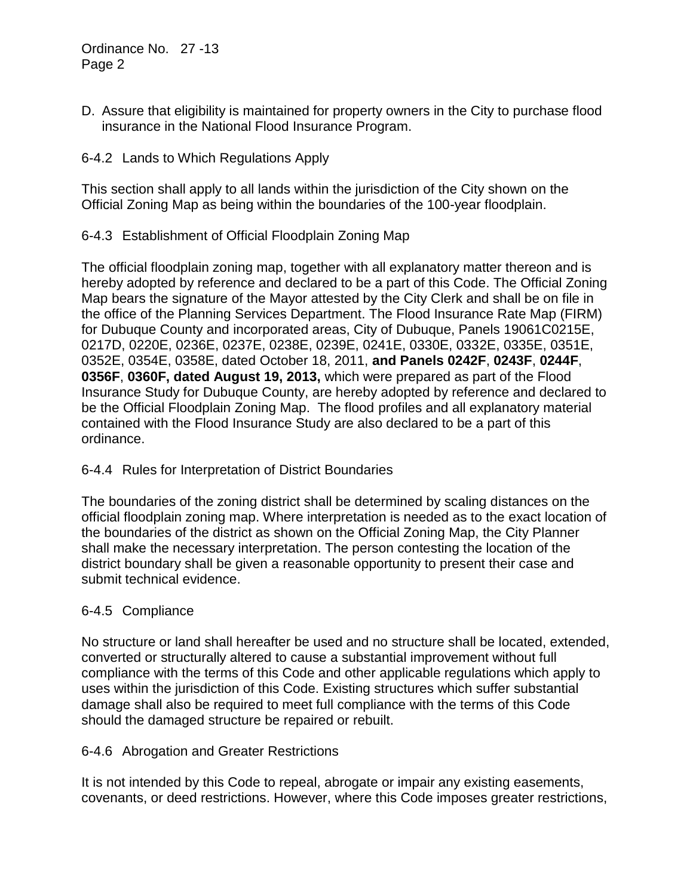D. Assure that eligibility is maintained for property owners in the City to purchase flood insurance in the National Flood Insurance Program.

### 6-4.2 Lands to Which Regulations Apply

This section shall apply to all lands within the jurisdiction of the City shown on the Official Zoning Map as being within the boundaries of the 100-year floodplain.

# 6-4.3 Establishment of Official Floodplain Zoning Map

The official floodplain zoning map, together with all explanatory matter thereon and is hereby adopted by reference and declared to be a part of this Code. The Official Zoning Map bears the signature of the Mayor attested by the City Clerk and shall be on file in the office of the Planning Services Department. The Flood Insurance Rate Map (FIRM) for Dubuque County and incorporated areas, City of Dubuque, Panels 19061C0215E, 0217D, 0220E, 0236E, 0237E, 0238E, 0239E, 0241E, 0330E, 0332E, 0335E, 0351E, 0352E, 0354E, 0358E, dated October 18, 2011, **and Panels 0242F**, **0243F**, **0244F**, **0356F**, **0360F, dated August 19, 2013,** which were prepared as part of the Flood Insurance Study for Dubuque County, are hereby adopted by reference and declared to be the Official Floodplain Zoning Map. The flood profiles and all explanatory material contained with the Flood Insurance Study are also declared to be a part of this ordinance.

### 6-4.4 Rules for Interpretation of District Boundaries

The boundaries of the zoning district shall be determined by scaling distances on the official floodplain zoning map. Where interpretation is needed as to the exact location of the boundaries of the district as shown on the Official Zoning Map, the City Planner shall make the necessary interpretation. The person contesting the location of the district boundary shall be given a reasonable opportunity to present their case and submit technical evidence.

### 6-4.5 Compliance

No structure or land shall hereafter be used and no structure shall be located, extended, converted or structurally altered to cause a substantial improvement without full compliance with the terms of this Code and other applicable regulations which apply to uses within the jurisdiction of this Code. Existing structures which suffer substantial damage shall also be required to meet full compliance with the terms of this Code should the damaged structure be repaired or rebuilt.

### 6-4.6 Abrogation and Greater Restrictions

It is not intended by this Code to repeal, abrogate or impair any existing easements, covenants, or deed restrictions. However, where this Code imposes greater restrictions,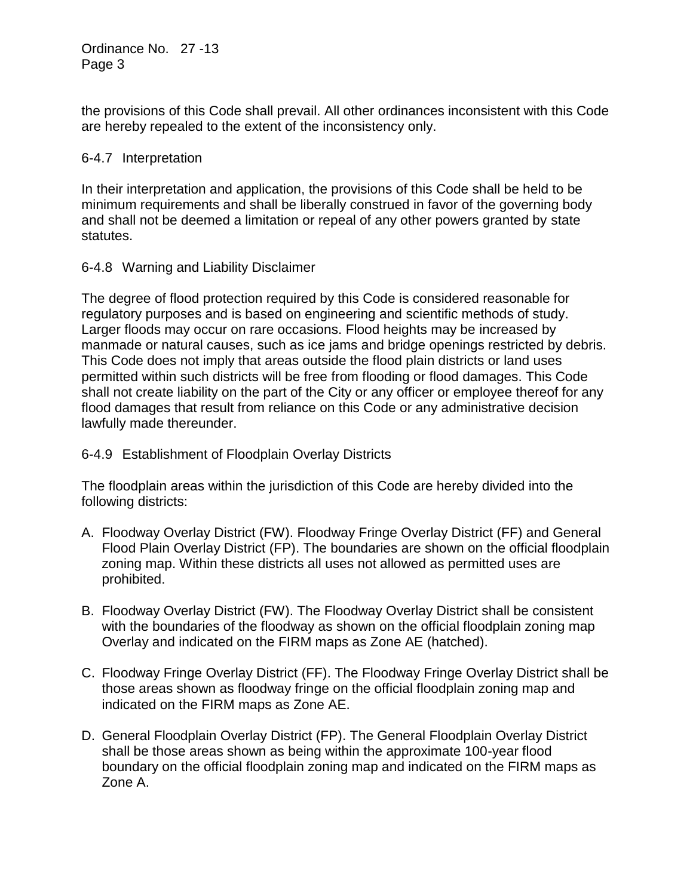the provisions of this Code shall prevail. All other ordinances inconsistent with this Code are hereby repealed to the extent of the inconsistency only.

# 6-4.7 Interpretation

In their interpretation and application, the provisions of this Code shall be held to be minimum requirements and shall be liberally construed in favor of the governing body and shall not be deemed a limitation or repeal of any other powers granted by state statutes.

# 6-4.8 Warning and Liability Disclaimer

The degree of flood protection required by this Code is considered reasonable for regulatory purposes and is based on engineering and scientific methods of study. Larger floods may occur on rare occasions. Flood heights may be increased by manmade or natural causes, such as ice jams and bridge openings restricted by debris. This Code does not imply that areas outside the flood plain districts or land uses permitted within such districts will be free from flooding or flood damages. This Code shall not create liability on the part of the City or any officer or employee thereof for any flood damages that result from reliance on this Code or any administrative decision lawfully made thereunder.

# 6-4.9 Establishment of Floodplain Overlay Districts

The floodplain areas within the jurisdiction of this Code are hereby divided into the following districts:

- A. Floodway Overlay District (FW). Floodway Fringe Overlay District (FF) and General Flood Plain Overlay District (FP). The boundaries are shown on the official floodplain zoning map. Within these districts all uses not allowed as permitted uses are prohibited.
- B. Floodway Overlay District (FW). The Floodway Overlay District shall be consistent with the boundaries of the floodway as shown on the official floodplain zoning map Overlay and indicated on the FIRM maps as Zone AE (hatched).
- C. Floodway Fringe Overlay District (FF). The Floodway Fringe Overlay District shall be those areas shown as floodway fringe on the official floodplain zoning map and indicated on the FIRM maps as Zone AE.
- D. General Floodplain Overlay District (FP). The General Floodplain Overlay District shall be those areas shown as being within the approximate 100-year flood boundary on the official floodplain zoning map and indicated on the FIRM maps as Zone A.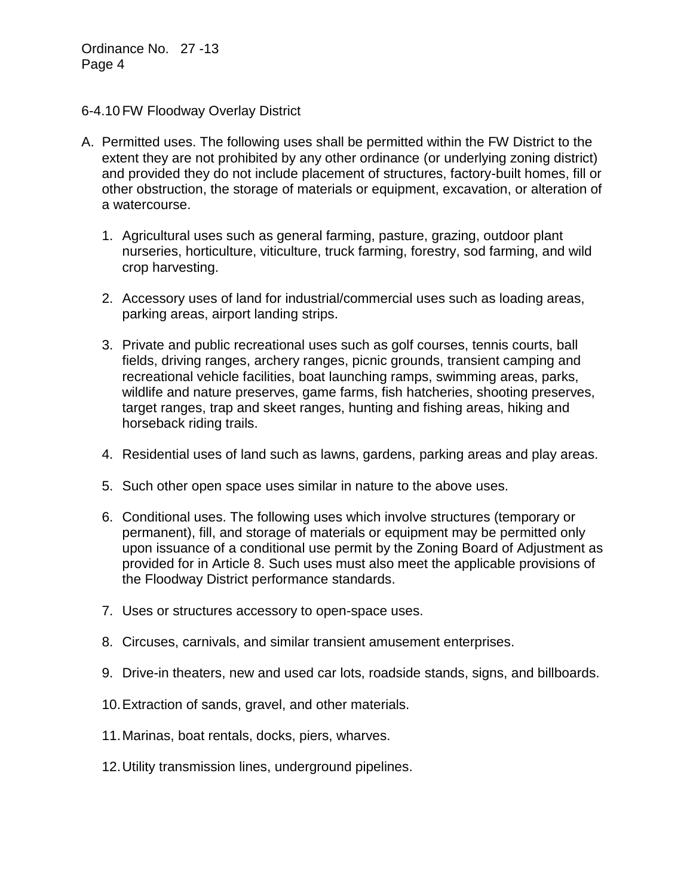#### 6-4.10 FW Floodway Overlay District

- A. Permitted uses. The following uses shall be permitted within the FW District to the extent they are not prohibited by any other ordinance (or underlying zoning district) and provided they do not include placement of structures, factory-built homes, fill or other obstruction, the storage of materials or equipment, excavation, or alteration of a watercourse.
	- 1. Agricultural uses such as general farming, pasture, grazing, outdoor plant nurseries, horticulture, viticulture, truck farming, forestry, sod farming, and wild crop harvesting.
	- 2. Accessory uses of land for industrial/commercial uses such as loading areas, parking areas, airport landing strips.
	- 3. Private and public recreational uses such as golf courses, tennis courts, ball fields, driving ranges, archery ranges, picnic grounds, transient camping and recreational vehicle facilities, boat launching ramps, swimming areas, parks, wildlife and nature preserves, game farms, fish hatcheries, shooting preserves, target ranges, trap and skeet ranges, hunting and fishing areas, hiking and horseback riding trails.
	- 4. Residential uses of land such as lawns, gardens, parking areas and play areas.
	- 5. Such other open space uses similar in nature to the above uses.
	- 6. Conditional uses. The following uses which involve structures (temporary or permanent), fill, and storage of materials or equipment may be permitted only upon issuance of a conditional use permit by the Zoning Board of Adjustment as provided for in Article 8. Such uses must also meet the applicable provisions of the Floodway District performance standards.
	- 7. Uses or structures accessory to open-space uses.
	- 8. Circuses, carnivals, and similar transient amusement enterprises.
	- 9. Drive-in theaters, new and used car lots, roadside stands, signs, and billboards.
	- 10.Extraction of sands, gravel, and other materials.
	- 11.Marinas, boat rentals, docks, piers, wharves.
	- 12.Utility transmission lines, underground pipelines.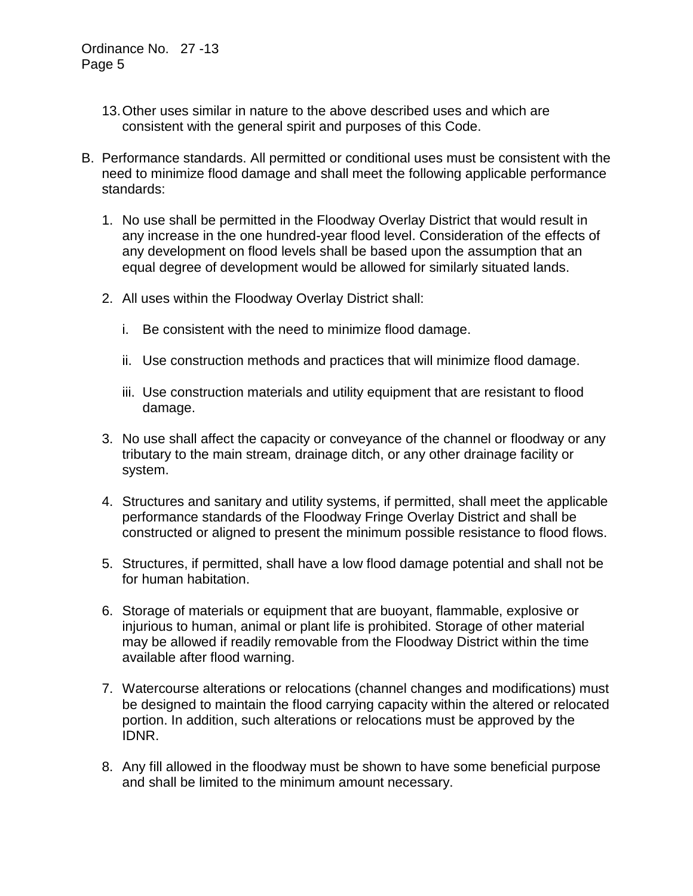- 13.Other uses similar in nature to the above described uses and which are consistent with the general spirit and purposes of this Code.
- B. Performance standards. All permitted or conditional uses must be consistent with the need to minimize flood damage and shall meet the following applicable performance standards:
	- 1. No use shall be permitted in the Floodway Overlay District that would result in any increase in the one hundred-year flood level. Consideration of the effects of any development on flood levels shall be based upon the assumption that an equal degree of development would be allowed for similarly situated lands.
	- 2. All uses within the Floodway Overlay District shall:
		- i. Be consistent with the need to minimize flood damage.
		- ii. Use construction methods and practices that will minimize flood damage.
		- iii. Use construction materials and utility equipment that are resistant to flood damage.
	- 3. No use shall affect the capacity or conveyance of the channel or floodway or any tributary to the main stream, drainage ditch, or any other drainage facility or system.
	- 4. Structures and sanitary and utility systems, if permitted, shall meet the applicable performance standards of the Floodway Fringe Overlay District and shall be constructed or aligned to present the minimum possible resistance to flood flows.
	- 5. Structures, if permitted, shall have a low flood damage potential and shall not be for human habitation.
	- 6. Storage of materials or equipment that are buoyant, flammable, explosive or injurious to human, animal or plant life is prohibited. Storage of other material may be allowed if readily removable from the Floodway District within the time available after flood warning.
	- 7. Watercourse alterations or relocations (channel changes and modifications) must be designed to maintain the flood carrying capacity within the altered or relocated portion. In addition, such alterations or relocations must be approved by the IDNR.
	- 8. Any fill allowed in the floodway must be shown to have some beneficial purpose and shall be limited to the minimum amount necessary.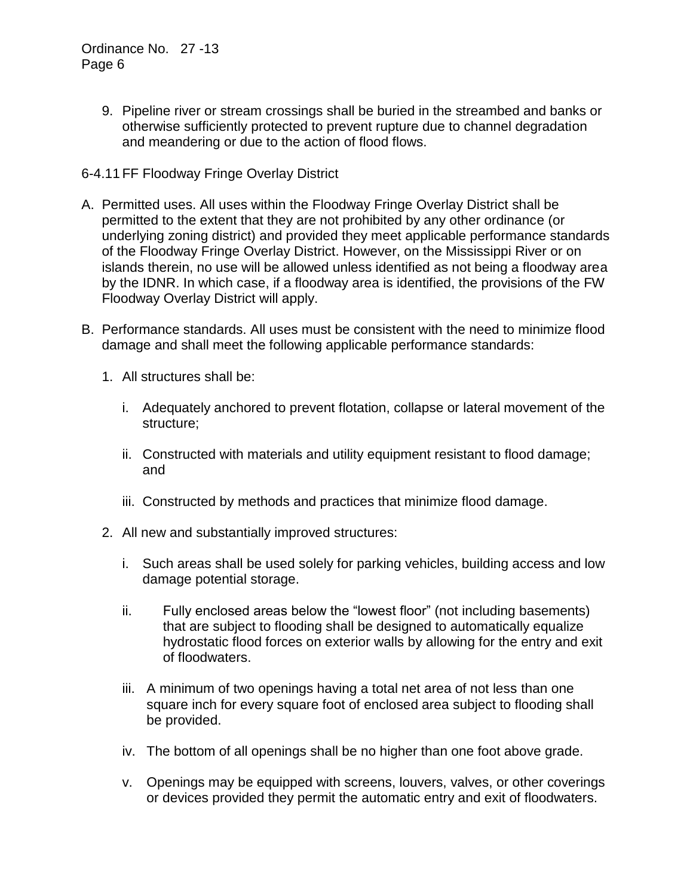9. Pipeline river or stream crossings shall be buried in the streambed and banks or otherwise sufficiently protected to prevent rupture due to channel degradation and meandering or due to the action of flood flows.

# 6-4.11 FF Floodway Fringe Overlay District

- A. Permitted uses. All uses within the Floodway Fringe Overlay District shall be permitted to the extent that they are not prohibited by any other ordinance (or underlying zoning district) and provided they meet applicable performance standards of the Floodway Fringe Overlay District. However, on the Mississippi River or on islands therein, no use will be allowed unless identified as not being a floodway area by the IDNR. In which case, if a floodway area is identified, the provisions of the FW Floodway Overlay District will apply.
- B. Performance standards. All uses must be consistent with the need to minimize flood damage and shall meet the following applicable performance standards:
	- 1. All structures shall be:
		- i. Adequately anchored to prevent flotation, collapse or lateral movement of the structure;
		- ii. Constructed with materials and utility equipment resistant to flood damage; and
		- iii. Constructed by methods and practices that minimize flood damage.
	- 2. All new and substantially improved structures:
		- i. Such areas shall be used solely for parking vehicles, building access and low damage potential storage.
		- ii. Fully enclosed areas below the "lowest floor" (not including basements) that are subject to flooding shall be designed to automatically equalize hydrostatic flood forces on exterior walls by allowing for the entry and exit of floodwaters.
		- iii. A minimum of two openings having a total net area of not less than one square inch for every square foot of enclosed area subject to flooding shall be provided.
		- iv. The bottom of all openings shall be no higher than one foot above grade.
		- v. Openings may be equipped with screens, louvers, valves, or other coverings or devices provided they permit the automatic entry and exit of floodwaters.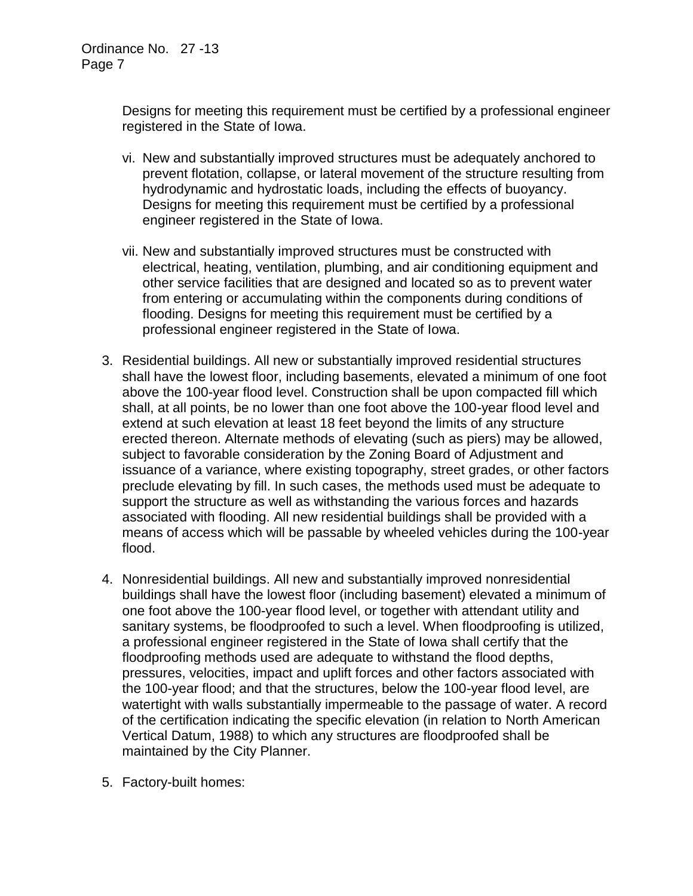Designs for meeting this requirement must be certified by a professional engineer registered in the State of Iowa.

- vi. New and substantially improved structures must be adequately anchored to prevent flotation, collapse, or lateral movement of the structure resulting from hydrodynamic and hydrostatic loads, including the effects of buoyancy. Designs for meeting this requirement must be certified by a professional engineer registered in the State of Iowa.
- vii. New and substantially improved structures must be constructed with electrical, heating, ventilation, plumbing, and air conditioning equipment and other service facilities that are designed and located so as to prevent water from entering or accumulating within the components during conditions of flooding. Designs for meeting this requirement must be certified by a professional engineer registered in the State of Iowa.
- 3. Residential buildings. All new or substantially improved residential structures shall have the lowest floor, including basements, elevated a minimum of one foot above the 100-year flood level. Construction shall be upon compacted fill which shall, at all points, be no lower than one foot above the 100-year flood level and extend at such elevation at least 18 feet beyond the limits of any structure erected thereon. Alternate methods of elevating (such as piers) may be allowed, subject to favorable consideration by the Zoning Board of Adjustment and issuance of a variance, where existing topography, street grades, or other factors preclude elevating by fill. In such cases, the methods used must be adequate to support the structure as well as withstanding the various forces and hazards associated with flooding. All new residential buildings shall be provided with a means of access which will be passable by wheeled vehicles during the 100-year flood.
- 4. Nonresidential buildings. All new and substantially improved nonresidential buildings shall have the lowest floor (including basement) elevated a minimum of one foot above the 100-year flood level, or together with attendant utility and sanitary systems, be floodproofed to such a level. When floodproofing is utilized, a professional engineer registered in the State of Iowa shall certify that the floodproofing methods used are adequate to withstand the flood depths, pressures, velocities, impact and uplift forces and other factors associated with the 100-year flood; and that the structures, below the 100-year flood level, are watertight with walls substantially impermeable to the passage of water. A record of the certification indicating the specific elevation (in relation to North American Vertical Datum, 1988) to which any structures are floodproofed shall be maintained by the City Planner.
- 5. Factory-built homes: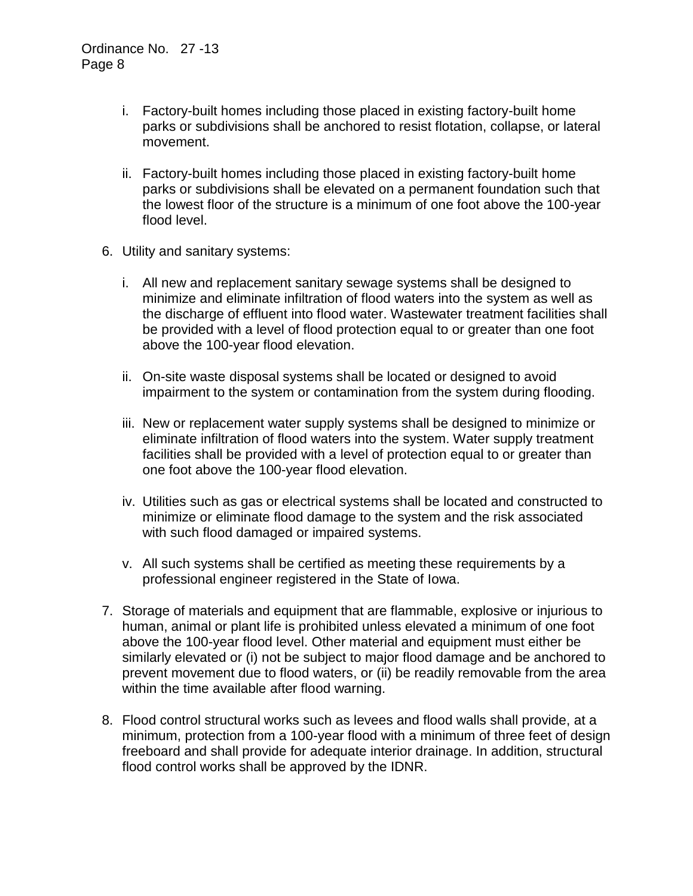- i. Factory-built homes including those placed in existing factory-built home parks or subdivisions shall be anchored to resist flotation, collapse, or lateral movement.
- ii. Factory-built homes including those placed in existing factory-built home parks or subdivisions shall be elevated on a permanent foundation such that the lowest floor of the structure is a minimum of one foot above the 100-year flood level.
- 6. Utility and sanitary systems:
	- i. All new and replacement sanitary sewage systems shall be designed to minimize and eliminate infiltration of flood waters into the system as well as the discharge of effluent into flood water. Wastewater treatment facilities shall be provided with a level of flood protection equal to or greater than one foot above the 100-year flood elevation.
	- ii. On-site waste disposal systems shall be located or designed to avoid impairment to the system or contamination from the system during flooding.
	- iii. New or replacement water supply systems shall be designed to minimize or eliminate infiltration of flood waters into the system. Water supply treatment facilities shall be provided with a level of protection equal to or greater than one foot above the 100-year flood elevation.
	- iv. Utilities such as gas or electrical systems shall be located and constructed to minimize or eliminate flood damage to the system and the risk associated with such flood damaged or impaired systems.
	- v. All such systems shall be certified as meeting these requirements by a professional engineer registered in the State of Iowa.
- 7. Storage of materials and equipment that are flammable, explosive or injurious to human, animal or plant life is prohibited unless elevated a minimum of one foot above the 100-year flood level. Other material and equipment must either be similarly elevated or (i) not be subject to major flood damage and be anchored to prevent movement due to flood waters, or (ii) be readily removable from the area within the time available after flood warning.
- 8. Flood control structural works such as levees and flood walls shall provide, at a minimum, protection from a 100-year flood with a minimum of three feet of design freeboard and shall provide for adequate interior drainage. In addition, structural flood control works shall be approved by the IDNR.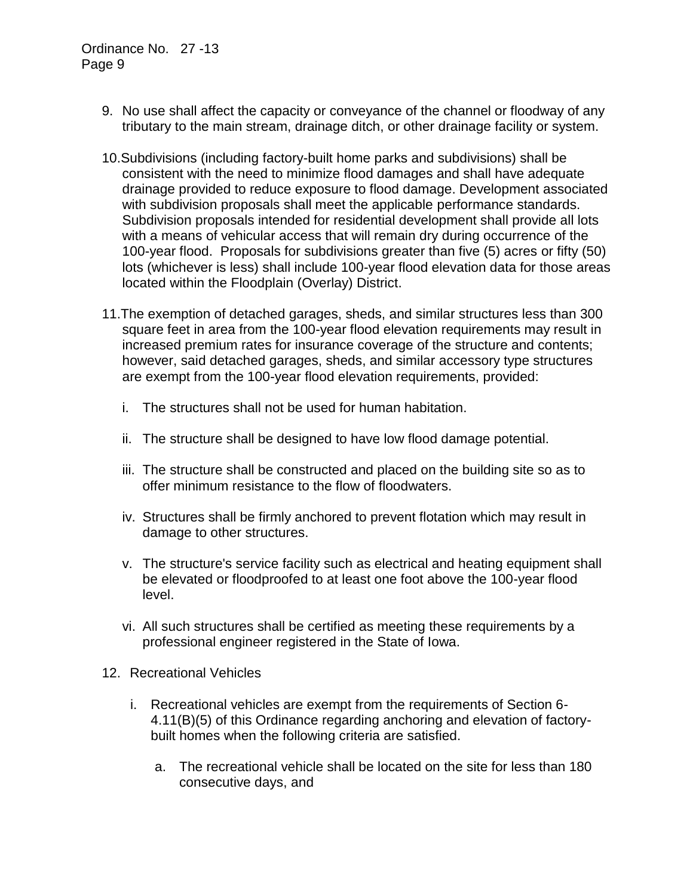- 9. No use shall affect the capacity or conveyance of the channel or floodway of any tributary to the main stream, drainage ditch, or other drainage facility or system.
- 10.Subdivisions (including factory-built home parks and subdivisions) shall be consistent with the need to minimize flood damages and shall have adequate drainage provided to reduce exposure to flood damage. Development associated with subdivision proposals shall meet the applicable performance standards. Subdivision proposals intended for residential development shall provide all lots with a means of vehicular access that will remain dry during occurrence of the 100-year flood. Proposals for subdivisions greater than five (5) acres or fifty (50) lots (whichever is less) shall include 100-year flood elevation data for those areas located within the Floodplain (Overlay) District.
- 11.The exemption of detached garages, sheds, and similar structures less than 300 square feet in area from the 100-year flood elevation requirements may result in increased premium rates for insurance coverage of the structure and contents; however, said detached garages, sheds, and similar accessory type structures are exempt from the 100-year flood elevation requirements, provided:
	- i. The structures shall not be used for human habitation.
	- ii. The structure shall be designed to have low flood damage potential.
	- iii. The structure shall be constructed and placed on the building site so as to offer minimum resistance to the flow of floodwaters.
	- iv. Structures shall be firmly anchored to prevent flotation which may result in damage to other structures.
	- v. The structure's service facility such as electrical and heating equipment shall be elevated or floodproofed to at least one foot above the 100-year flood level.
	- vi. All such structures shall be certified as meeting these requirements by a professional engineer registered in the State of Iowa.
- 12. Recreational Vehicles
	- i. Recreational vehicles are exempt from the requirements of Section 6- 4.11(B)(5) of this Ordinance regarding anchoring and elevation of factorybuilt homes when the following criteria are satisfied.
		- a. The recreational vehicle shall be located on the site for less than 180 consecutive days, and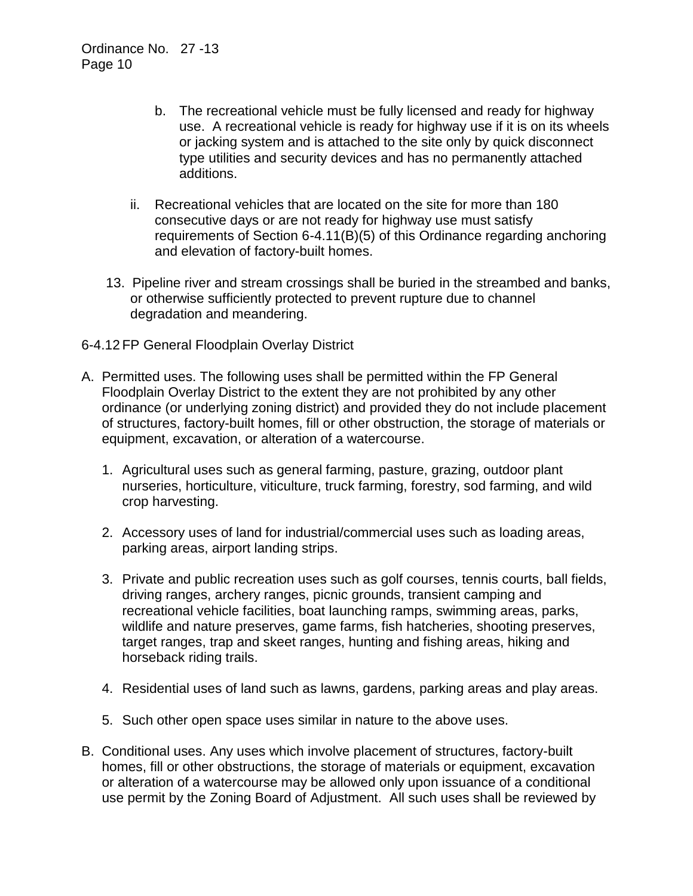- b. The recreational vehicle must be fully licensed and ready for highway use. A recreational vehicle is ready for highway use if it is on its wheels or jacking system and is attached to the site only by quick disconnect type utilities and security devices and has no permanently attached additions.
- ii. Recreational vehicles that are located on the site for more than 180 consecutive days or are not ready for highway use must satisfy requirements of Section 6-4.11(B)(5) of this Ordinance regarding anchoring and elevation of factory-built homes.
- 13. Pipeline river and stream crossings shall be buried in the streambed and banks, or otherwise sufficiently protected to prevent rupture due to channel degradation and meandering.
- 6-4.12 FP General Floodplain Overlay District
- A. Permitted uses. The following uses shall be permitted within the FP General Floodplain Overlay District to the extent they are not prohibited by any other ordinance (or underlying zoning district) and provided they do not include placement of structures, factory-built homes, fill or other obstruction, the storage of materials or equipment, excavation, or alteration of a watercourse.
	- 1. Agricultural uses such as general farming, pasture, grazing, outdoor plant nurseries, horticulture, viticulture, truck farming, forestry, sod farming, and wild crop harvesting.
	- 2. Accessory uses of land for industrial/commercial uses such as loading areas, parking areas, airport landing strips.
	- 3. Private and public recreation uses such as golf courses, tennis courts, ball fields, driving ranges, archery ranges, picnic grounds, transient camping and recreational vehicle facilities, boat launching ramps, swimming areas, parks, wildlife and nature preserves, game farms, fish hatcheries, shooting preserves, target ranges, trap and skeet ranges, hunting and fishing areas, hiking and horseback riding trails.
	- 4. Residential uses of land such as lawns, gardens, parking areas and play areas.
	- 5. Such other open space uses similar in nature to the above uses.
- B. Conditional uses. Any uses which involve placement of structures, factory-built homes, fill or other obstructions, the storage of materials or equipment, excavation or alteration of a watercourse may be allowed only upon issuance of a conditional use permit by the Zoning Board of Adjustment. All such uses shall be reviewed by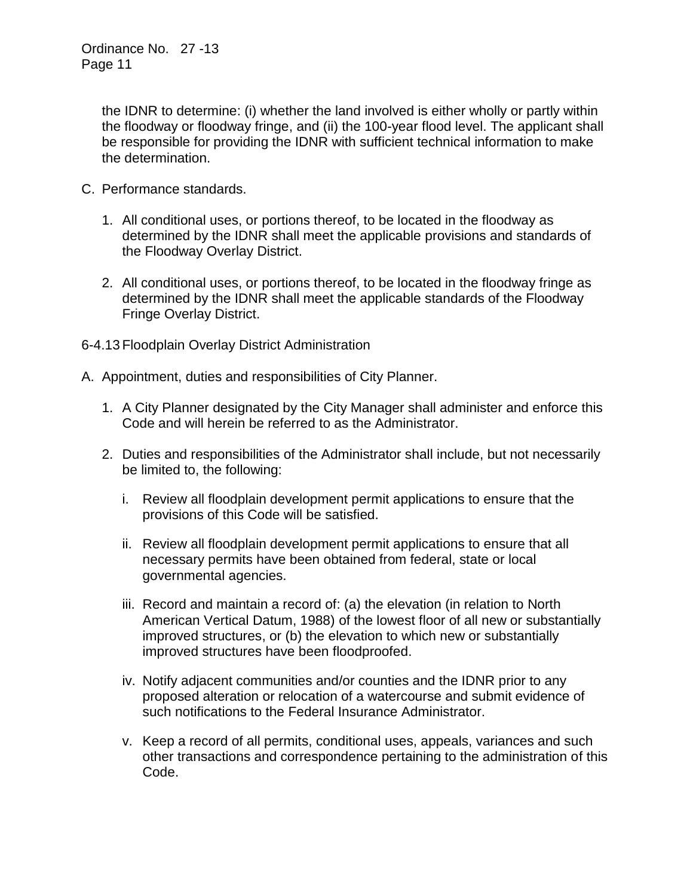the IDNR to determine: (i) whether the land involved is either wholly or partly within the floodway or floodway fringe, and (ii) the 100-year flood level. The applicant shall be responsible for providing the IDNR with sufficient technical information to make the determination.

- C. Performance standards.
	- 1. All conditional uses, or portions thereof, to be located in the floodway as determined by the IDNR shall meet the applicable provisions and standards of the Floodway Overlay District.
	- 2. All conditional uses, or portions thereof, to be located in the floodway fringe as determined by the IDNR shall meet the applicable standards of the Floodway Fringe Overlay District.
- 6-4.13 Floodplain Overlay District Administration
- A. Appointment, duties and responsibilities of City Planner.
	- 1. A City Planner designated by the City Manager shall administer and enforce this Code and will herein be referred to as the Administrator.
	- 2. Duties and responsibilities of the Administrator shall include, but not necessarily be limited to, the following:
		- i. Review all floodplain development permit applications to ensure that the provisions of this Code will be satisfied.
		- ii. Review all floodplain development permit applications to ensure that all necessary permits have been obtained from federal, state or local governmental agencies.
		- iii. Record and maintain a record of: (a) the elevation (in relation to North American Vertical Datum, 1988) of the lowest floor of all new or substantially improved structures, or (b) the elevation to which new or substantially improved structures have been floodproofed.
		- iv. Notify adjacent communities and/or counties and the IDNR prior to any proposed alteration or relocation of a watercourse and submit evidence of such notifications to the Federal Insurance Administrator.
		- v. Keep a record of all permits, conditional uses, appeals, variances and such other transactions and correspondence pertaining to the administration of this Code.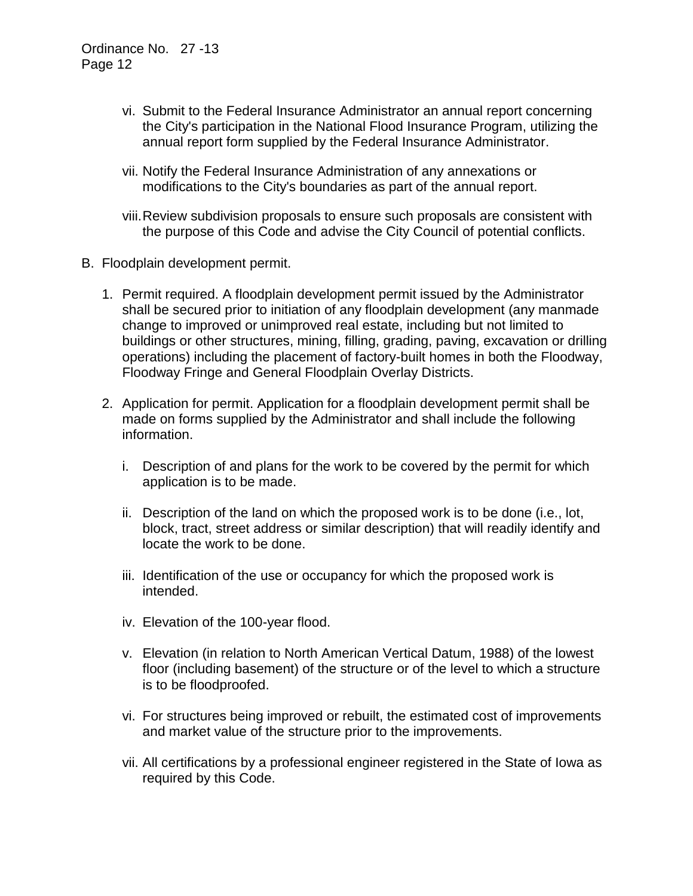- vi. Submit to the Federal Insurance Administrator an annual report concerning the City's participation in the National Flood Insurance Program, utilizing the annual report form supplied by the Federal Insurance Administrator.
- vii. Notify the Federal Insurance Administration of any annexations or modifications to the City's boundaries as part of the annual report.
- viii.Review subdivision proposals to ensure such proposals are consistent with the purpose of this Code and advise the City Council of potential conflicts.
- B. Floodplain development permit.
	- 1. Permit required. A floodplain development permit issued by the Administrator shall be secured prior to initiation of any floodplain development (any manmade change to improved or unimproved real estate, including but not limited to buildings or other structures, mining, filling, grading, paving, excavation or drilling operations) including the placement of factory-built homes in both the Floodway, Floodway Fringe and General Floodplain Overlay Districts.
	- 2. Application for permit. Application for a floodplain development permit shall be made on forms supplied by the Administrator and shall include the following information.
		- i. Description of and plans for the work to be covered by the permit for which application is to be made.
		- ii. Description of the land on which the proposed work is to be done (i.e., lot, block, tract, street address or similar description) that will readily identify and locate the work to be done.
		- iii. Identification of the use or occupancy for which the proposed work is intended.
		- iv. Elevation of the 100-year flood.
		- v. Elevation (in relation to North American Vertical Datum, 1988) of the lowest floor (including basement) of the structure or of the level to which a structure is to be floodproofed.
		- vi. For structures being improved or rebuilt, the estimated cost of improvements and market value of the structure prior to the improvements.
		- vii. All certifications by a professional engineer registered in the State of Iowa as required by this Code.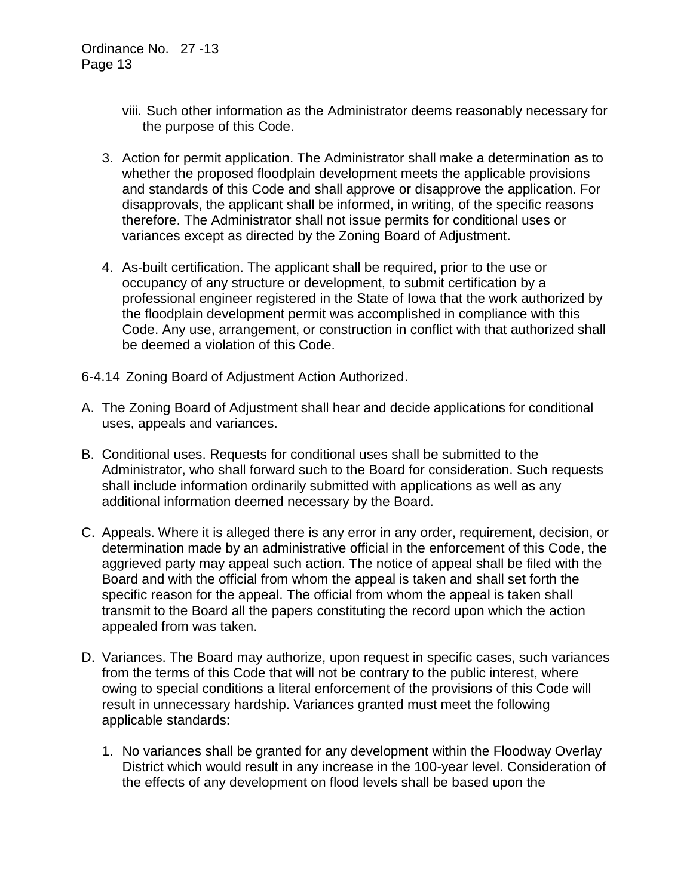- viii. Such other information as the Administrator deems reasonably necessary for the purpose of this Code.
- 3. Action for permit application. The Administrator shall make a determination as to whether the proposed floodplain development meets the applicable provisions and standards of this Code and shall approve or disapprove the application. For disapprovals, the applicant shall be informed, in writing, of the specific reasons therefore. The Administrator shall not issue permits for conditional uses or variances except as directed by the Zoning Board of Adjustment.
- 4. As-built certification. The applicant shall be required, prior to the use or occupancy of any structure or development, to submit certification by a professional engineer registered in the State of Iowa that the work authorized by the floodplain development permit was accomplished in compliance with this Code. Any use, arrangement, or construction in conflict with that authorized shall be deemed a violation of this Code.
- 6-4.14 Zoning Board of Adjustment Action Authorized.
- A. The Zoning Board of Adjustment shall hear and decide applications for conditional uses, appeals and variances.
- B. Conditional uses. Requests for conditional uses shall be submitted to the Administrator, who shall forward such to the Board for consideration. Such requests shall include information ordinarily submitted with applications as well as any additional information deemed necessary by the Board.
- C. Appeals. Where it is alleged there is any error in any order, requirement, decision, or determination made by an administrative official in the enforcement of this Code, the aggrieved party may appeal such action. The notice of appeal shall be filed with the Board and with the official from whom the appeal is taken and shall set forth the specific reason for the appeal. The official from whom the appeal is taken shall transmit to the Board all the papers constituting the record upon which the action appealed from was taken.
- D. Variances. The Board may authorize, upon request in specific cases, such variances from the terms of this Code that will not be contrary to the public interest, where owing to special conditions a literal enforcement of the provisions of this Code will result in unnecessary hardship. Variances granted must meet the following applicable standards:
	- 1. No variances shall be granted for any development within the Floodway Overlay District which would result in any increase in the 100-year level. Consideration of the effects of any development on flood levels shall be based upon the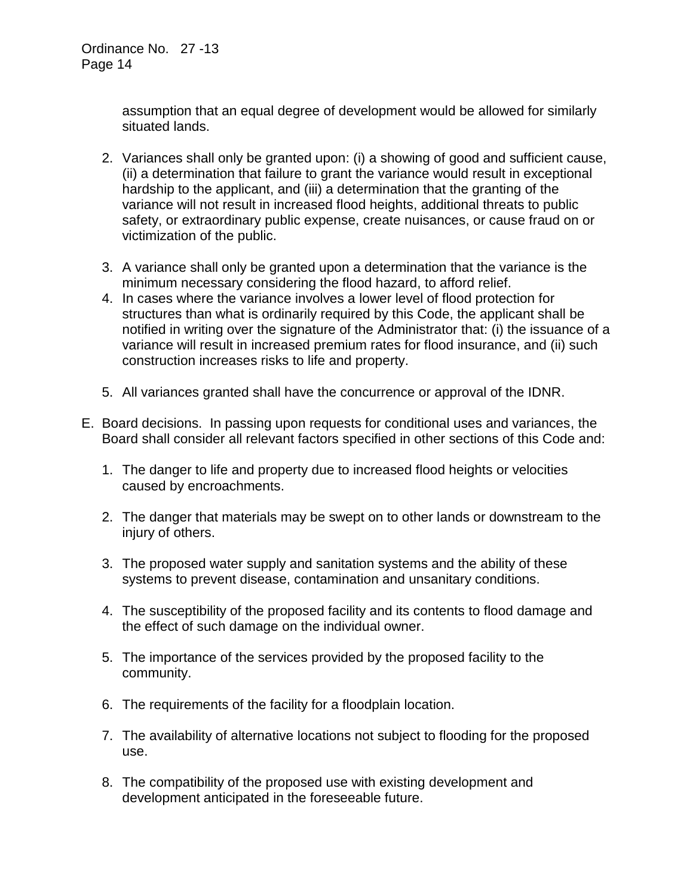assumption that an equal degree of development would be allowed for similarly situated lands.

- 2. Variances shall only be granted upon: (i) a showing of good and sufficient cause, (ii) a determination that failure to grant the variance would result in exceptional hardship to the applicant, and (iii) a determination that the granting of the variance will not result in increased flood heights, additional threats to public safety, or extraordinary public expense, create nuisances, or cause fraud on or victimization of the public.
- 3. A variance shall only be granted upon a determination that the variance is the minimum necessary considering the flood hazard, to afford relief.
- 4. In cases where the variance involves a lower level of flood protection for structures than what is ordinarily required by this Code, the applicant shall be notified in writing over the signature of the Administrator that: (i) the issuance of a variance will result in increased premium rates for flood insurance, and (ii) such construction increases risks to life and property.
- 5. All variances granted shall have the concurrence or approval of the IDNR.
- E. Board decisions. In passing upon requests for conditional uses and variances, the Board shall consider all relevant factors specified in other sections of this Code and:
	- 1. The danger to life and property due to increased flood heights or velocities caused by encroachments.
	- 2. The danger that materials may be swept on to other lands or downstream to the injury of others.
	- 3. The proposed water supply and sanitation systems and the ability of these systems to prevent disease, contamination and unsanitary conditions.
	- 4. The susceptibility of the proposed facility and its contents to flood damage and the effect of such damage on the individual owner.
	- 5. The importance of the services provided by the proposed facility to the community.
	- 6. The requirements of the facility for a floodplain location.
	- 7. The availability of alternative locations not subject to flooding for the proposed use.
	- 8. The compatibility of the proposed use with existing development and development anticipated in the foreseeable future.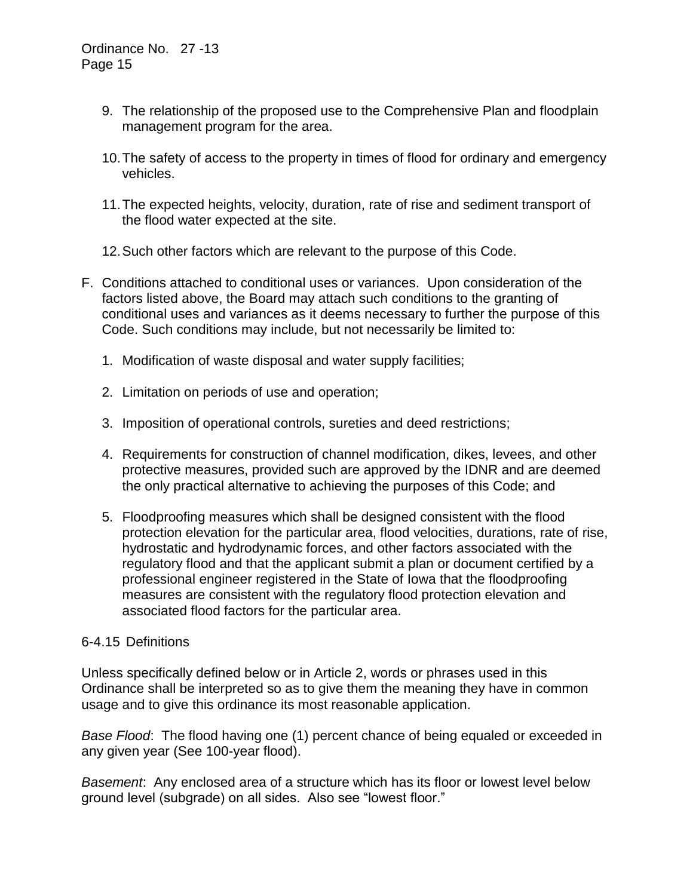- 9. The relationship of the proposed use to the Comprehensive Plan and floodplain management program for the area.
- 10.The safety of access to the property in times of flood for ordinary and emergency vehicles.
- 11.The expected heights, velocity, duration, rate of rise and sediment transport of the flood water expected at the site.
- 12.Such other factors which are relevant to the purpose of this Code.
- F. Conditions attached to conditional uses or variances. Upon consideration of the factors listed above, the Board may attach such conditions to the granting of conditional uses and variances as it deems necessary to further the purpose of this Code. Such conditions may include, but not necessarily be limited to:
	- 1. Modification of waste disposal and water supply facilities;
	- 2. Limitation on periods of use and operation;
	- 3. Imposition of operational controls, sureties and deed restrictions;
	- 4. Requirements for construction of channel modification, dikes, levees, and other protective measures, provided such are approved by the IDNR and are deemed the only practical alternative to achieving the purposes of this Code; and
	- 5. Floodproofing measures which shall be designed consistent with the flood protection elevation for the particular area, flood velocities, durations, rate of rise, hydrostatic and hydrodynamic forces, and other factors associated with the regulatory flood and that the applicant submit a plan or document certified by a professional engineer registered in the State of Iowa that the floodproofing measures are consistent with the regulatory flood protection elevation and associated flood factors for the particular area.

#### 6-4.15 Definitions

Unless specifically defined below or in Article 2, words or phrases used in this Ordinance shall be interpreted so as to give them the meaning they have in common usage and to give this ordinance its most reasonable application.

*Base Flood*: The flood having one (1) percent chance of being equaled or exceeded in any given year (See 100-year flood).

*Basement*: Any enclosed area of a structure which has its floor or lowest level below ground level (subgrade) on all sides. Also see "lowest floor."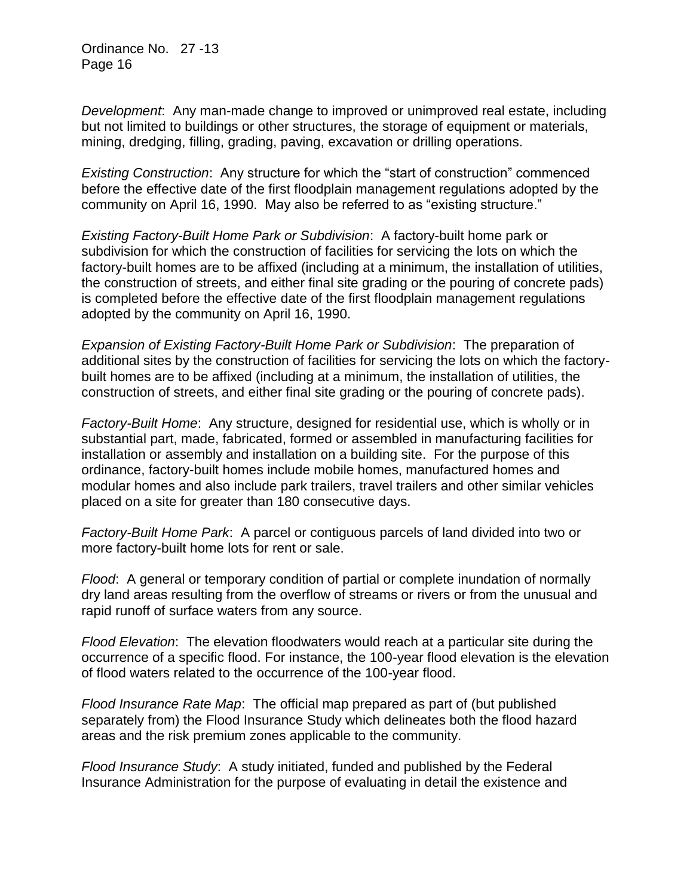*Development*: Any man-made change to improved or unimproved real estate, including but not limited to buildings or other structures, the storage of equipment or materials, mining, dredging, filling, grading, paving, excavation or drilling operations.

*Existing Construction*: Any structure for which the "start of construction" commenced before the effective date of the first floodplain management regulations adopted by the community on April 16, 1990. May also be referred to as "existing structure."

*Existing Factory-Built Home Park or Subdivision*: A factory-built home park or subdivision for which the construction of facilities for servicing the lots on which the factory-built homes are to be affixed (including at a minimum, the installation of utilities, the construction of streets, and either final site grading or the pouring of concrete pads) is completed before the effective date of the first floodplain management regulations adopted by the community on April 16, 1990.

*Expansion of Existing Factory-Built Home Park or Subdivision*: The preparation of additional sites by the construction of facilities for servicing the lots on which the factorybuilt homes are to be affixed (including at a minimum, the installation of utilities, the construction of streets, and either final site grading or the pouring of concrete pads).

*Factory-Built Home*: Any structure, designed for residential use, which is wholly or in substantial part, made, fabricated, formed or assembled in manufacturing facilities for installation or assembly and installation on a building site. For the purpose of this ordinance, factory-built homes include mobile homes, manufactured homes and modular homes and also include park trailers, travel trailers and other similar vehicles placed on a site for greater than 180 consecutive days.

*Factory-Built Home Park*: A parcel or contiguous parcels of land divided into two or more factory-built home lots for rent or sale.

*Flood*: A general or temporary condition of partial or complete inundation of normally dry land areas resulting from the overflow of streams or rivers or from the unusual and rapid runoff of surface waters from any source.

*Flood Elevation*: The elevation floodwaters would reach at a particular site during the occurrence of a specific flood. For instance, the 100-year flood elevation is the elevation of flood waters related to the occurrence of the 100-year flood.

*Flood Insurance Rate Map*: The official map prepared as part of (but published separately from) the Flood Insurance Study which delineates both the flood hazard areas and the risk premium zones applicable to the community.

*Flood Insurance Study*: A study initiated, funded and published by the Federal Insurance Administration for the purpose of evaluating in detail the existence and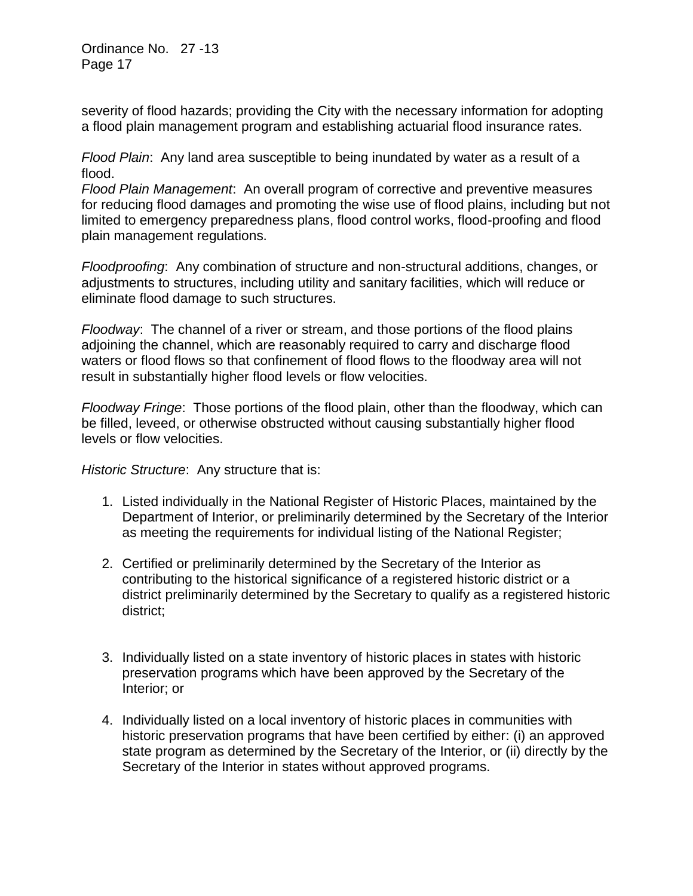severity of flood hazards; providing the City with the necessary information for adopting a flood plain management program and establishing actuarial flood insurance rates.

*Flood Plain*: Any land area susceptible to being inundated by water as a result of a flood.

*Flood Plain Management*: An overall program of corrective and preventive measures for reducing flood damages and promoting the wise use of flood plains, including but not limited to emergency preparedness plans, flood control works, flood-proofing and flood plain management regulations.

*Floodproofing*: Any combination of structure and non-structural additions, changes, or adjustments to structures, including utility and sanitary facilities, which will reduce or eliminate flood damage to such structures.

*Floodway*: The channel of a river or stream, and those portions of the flood plains adjoining the channel, which are reasonably required to carry and discharge flood waters or flood flows so that confinement of flood flows to the floodway area will not result in substantially higher flood levels or flow velocities.

*Floodway Fringe*: Those portions of the flood plain, other than the floodway, which can be filled, leveed, or otherwise obstructed without causing substantially higher flood levels or flow velocities.

*Historic Structure*: Any structure that is:

- 1. Listed individually in the National Register of Historic Places, maintained by the Department of Interior, or preliminarily determined by the Secretary of the Interior as meeting the requirements for individual listing of the National Register;
- 2. Certified or preliminarily determined by the Secretary of the Interior as contributing to the historical significance of a registered historic district or a district preliminarily determined by the Secretary to qualify as a registered historic district;
- 3. Individually listed on a state inventory of historic places in states with historic preservation programs which have been approved by the Secretary of the Interior; or
- 4. Individually listed on a local inventory of historic places in communities with historic preservation programs that have been certified by either: (i) an approved state program as determined by the Secretary of the Interior, or (ii) directly by the Secretary of the Interior in states without approved programs.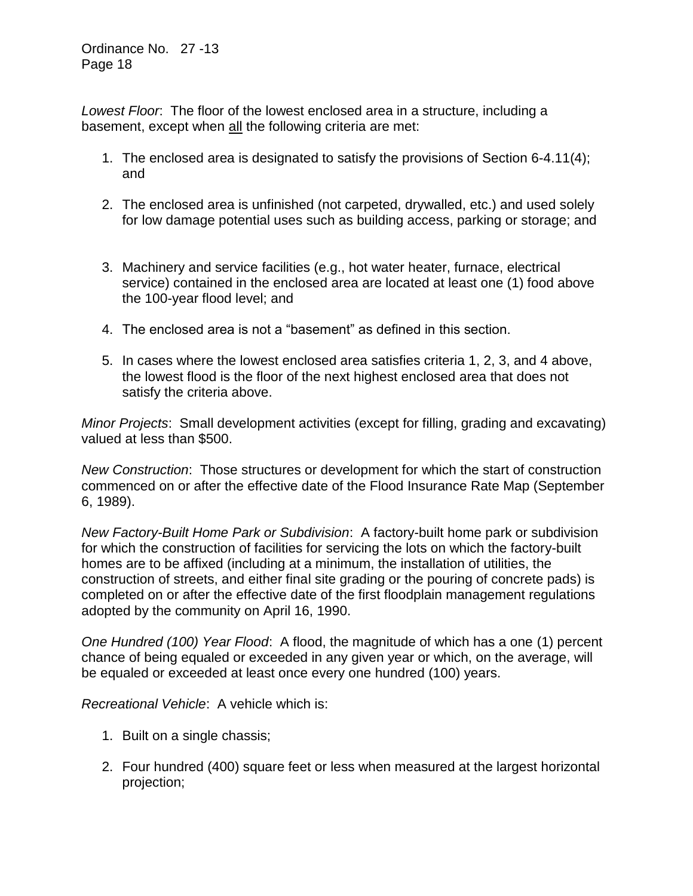*Lowest Floor*: The floor of the lowest enclosed area in a structure, including a basement, except when all the following criteria are met:

- 1. The enclosed area is designated to satisfy the provisions of Section 6-4.11(4); and
- 2. The enclosed area is unfinished (not carpeted, drywalled, etc.) and used solely for low damage potential uses such as building access, parking or storage; and
- 3. Machinery and service facilities (e.g., hot water heater, furnace, electrical service) contained in the enclosed area are located at least one (1) food above the 100-year flood level; and
- 4. The enclosed area is not a "basement" as defined in this section.
- 5. In cases where the lowest enclosed area satisfies criteria 1, 2, 3, and 4 above, the lowest flood is the floor of the next highest enclosed area that does not satisfy the criteria above.

*Minor Projects*: Small development activities (except for filling, grading and excavating) valued at less than \$500.

*New Construction*: Those structures or development for which the start of construction commenced on or after the effective date of the Flood Insurance Rate Map (September 6, 1989).

*New Factory-Built Home Park or Subdivision*: A factory-built home park or subdivision for which the construction of facilities for servicing the lots on which the factory-built homes are to be affixed (including at a minimum, the installation of utilities, the construction of streets, and either final site grading or the pouring of concrete pads) is completed on or after the effective date of the first floodplain management regulations adopted by the community on April 16, 1990.

*One Hundred (100) Year Flood*: A flood, the magnitude of which has a one (1) percent chance of being equaled or exceeded in any given year or which, on the average, will be equaled or exceeded at least once every one hundred (100) years.

*Recreational Vehicle*: A vehicle which is:

- 1. Built on a single chassis;
- 2. Four hundred (400) square feet or less when measured at the largest horizontal projection;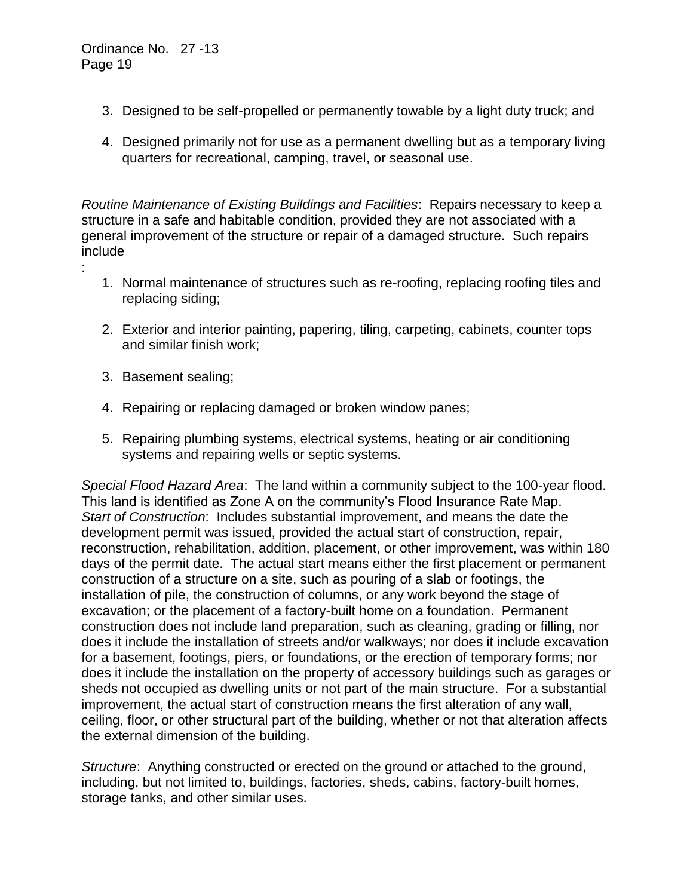- 3. Designed to be self-propelled or permanently towable by a light duty truck; and
- 4. Designed primarily not for use as a permanent dwelling but as a temporary living quarters for recreational, camping, travel, or seasonal use.

*Routine Maintenance of Existing Buildings and Facilities*: Repairs necessary to keep a structure in a safe and habitable condition, provided they are not associated with a general improvement of the structure or repair of a damaged structure. Such repairs include :

- 1. Normal maintenance of structures such as re-roofing, replacing roofing tiles and replacing siding;
- 2. Exterior and interior painting, papering, tiling, carpeting, cabinets, counter tops and similar finish work;
- 3. Basement sealing;
- 4. Repairing or replacing damaged or broken window panes;
- 5. Repairing plumbing systems, electrical systems, heating or air conditioning systems and repairing wells or septic systems.

*Special Flood Hazard Area*: The land within a community subject to the 100-year flood. This land is identified as Zone A on the community's Flood Insurance Rate Map. *Start of Construction*: Includes substantial improvement, and means the date the development permit was issued, provided the actual start of construction, repair, reconstruction, rehabilitation, addition, placement, or other improvement, was within 180 days of the permit date. The actual start means either the first placement or permanent construction of a structure on a site, such as pouring of a slab or footings, the installation of pile, the construction of columns, or any work beyond the stage of excavation; or the placement of a factory-built home on a foundation. Permanent construction does not include land preparation, such as cleaning, grading or filling, nor does it include the installation of streets and/or walkways; nor does it include excavation for a basement, footings, piers, or foundations, or the erection of temporary forms; nor does it include the installation on the property of accessory buildings such as garages or sheds not occupied as dwelling units or not part of the main structure. For a substantial improvement, the actual start of construction means the first alteration of any wall, ceiling, floor, or other structural part of the building, whether or not that alteration affects the external dimension of the building.

*Structure*: Anything constructed or erected on the ground or attached to the ground, including, but not limited to, buildings, factories, sheds, cabins, factory-built homes, storage tanks, and other similar uses.